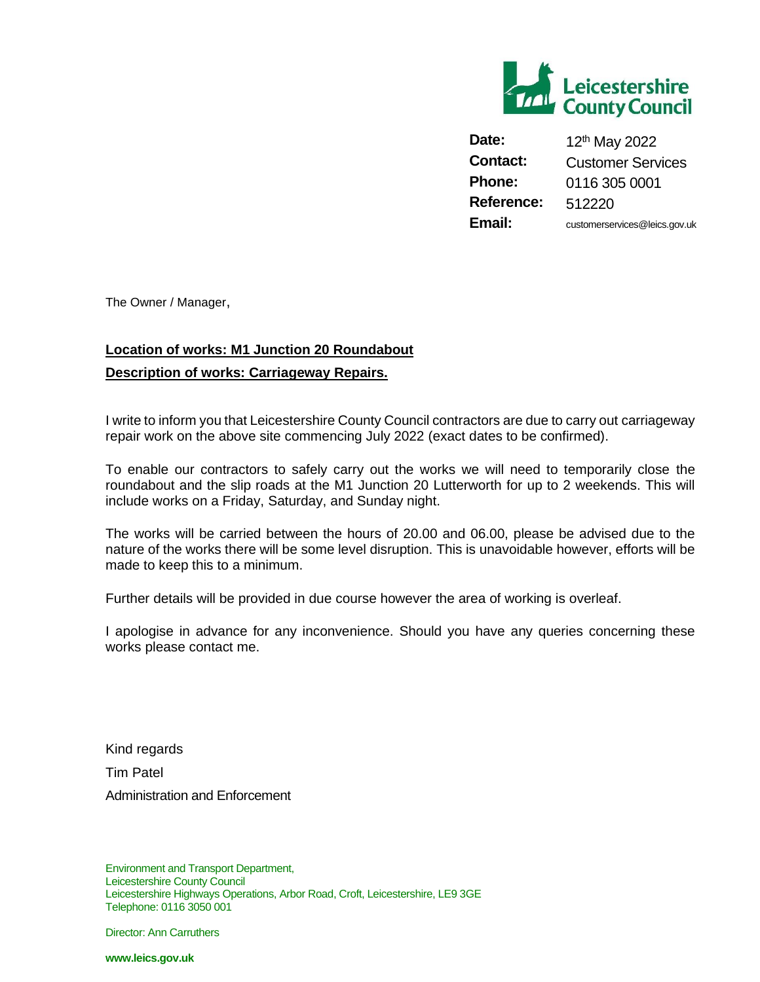

**Date:** 12<sup>th</sup> May 2022 **Contact:** Customer Services **Phone:** 0116 305 0001 **Reference:** 512220 **Email:** customerservices@leics.gov.uk

The Owner / Manager,

## **Location of works: M1 Junction 20 Roundabout Description of works: Carriageway Repairs.**

I write to inform you that Leicestershire County Council contractors are due to carry out carriageway repair work on the above site commencing July 2022 (exact dates to be confirmed).

To enable our contractors to safely carry out the works we will need to temporarily close the roundabout and the slip roads at the M1 Junction 20 Lutterworth for up to 2 weekends. This will include works on a Friday, Saturday, and Sunday night.

The works will be carried between the hours of 20.00 and 06.00, please be advised due to the nature of the works there will be some level disruption. This is unavoidable however, efforts will be made to keep this to a minimum.

Further details will be provided in due course however the area of working is overleaf.

I apologise in advance for any inconvenience. Should you have any queries concerning these works please contact me.

Kind regards Tim Patel Administration and Enforcement

Environment and Transport Department, Leicestershire County Council Leicestershire Highways Operations, Arbor Road, Croft, Leicestershire, LE9 3GE Telephone: 0116 3050 001

Director: Ann Carruthers

**www.leics.gov.uk**